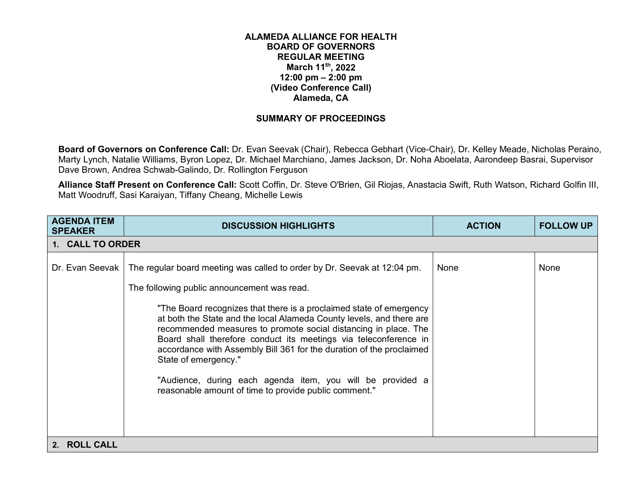## **ALAMEDA ALLIANCE FOR HEALTH BOARD OF GOVERNORS REGULAR MEETING March 11th, 2022 12:00 pm – 2:00 pm (Video Conference Call) Alameda, CA**

## **SUMMARY OF PROCEEDINGS**

**Board of Governors on Conference Call:** Dr. Evan Seevak (Chair), Rebecca Gebhart (Vice-Chair), Dr. Kelley Meade, Nicholas Peraino, Marty Lynch, Natalie Williams, Byron Lopez, Dr. Michael Marchiano, James Jackson, Dr. Noha Aboelata, Aarondeep Basrai, Supervisor Dave Brown, Andrea Schwab-Galindo, Dr. Rollington Ferguson

**Alliance Staff Present on Conference Call:** Scott Coffin, Dr. Steve O'Brien, Gil Riojas, Anastacia Swift, Ruth Watson, Richard Golfin III, Matt Woodruff, Sasi Karaiyan, Tiffany Cheang, Michelle Lewis

| <b>AGENDA ITEM</b><br><b>SPEAKER</b> | <b>DISCUSSION HIGHLIGHTS</b>                                                                                                                                                                                                                                                                                                                                                                                                                                                                                                                                                                                                         | <b>ACTION</b> | <b>FOLLOW UP</b> |
|--------------------------------------|--------------------------------------------------------------------------------------------------------------------------------------------------------------------------------------------------------------------------------------------------------------------------------------------------------------------------------------------------------------------------------------------------------------------------------------------------------------------------------------------------------------------------------------------------------------------------------------------------------------------------------------|---------------|------------------|
| 1. CALL TO ORDER                     |                                                                                                                                                                                                                                                                                                                                                                                                                                                                                                                                                                                                                                      |               |                  |
| Dr. Evan Seevak                      | The regular board meeting was called to order by Dr. Seevak at 12:04 pm.<br>The following public announcement was read.<br>"The Board recognizes that there is a proclaimed state of emergency<br>at both the State and the local Alameda County levels, and there are<br>recommended measures to promote social distancing in place. The<br>Board shall therefore conduct its meetings via teleconference in<br>accordance with Assembly Bill 361 for the duration of the proclaimed<br>State of emergency."<br>"Audience, during each agenda item, you will be provided a<br>reasonable amount of time to provide public comment." | None          | None             |
| <b>ROLL CALL</b><br>2.               |                                                                                                                                                                                                                                                                                                                                                                                                                                                                                                                                                                                                                                      |               |                  |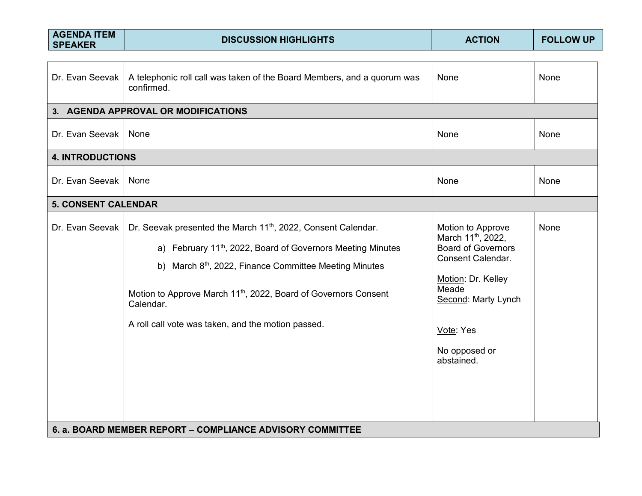| <b>AGENDA ITEM</b><br><b>SPEAKER</b> | <b>DISCUSSION HIGHLIGHTS</b>                                                                                                                                                                                                                                                                                                                                                 | <b>ACTION</b>                                                                                                                                                                                                  | <b>FOLLOW UP</b> |
|--------------------------------------|------------------------------------------------------------------------------------------------------------------------------------------------------------------------------------------------------------------------------------------------------------------------------------------------------------------------------------------------------------------------------|----------------------------------------------------------------------------------------------------------------------------------------------------------------------------------------------------------------|------------------|
| Dr. Evan Seevak                      | A telephonic roll call was taken of the Board Members, and a quorum was<br>confirmed.                                                                                                                                                                                                                                                                                        | None                                                                                                                                                                                                           | None             |
|                                      | 3. AGENDA APPROVAL OR MODIFICATIONS                                                                                                                                                                                                                                                                                                                                          |                                                                                                                                                                                                                |                  |
| Dr. Evan Seevak                      | None                                                                                                                                                                                                                                                                                                                                                                         | None                                                                                                                                                                                                           | None             |
| <b>4. INTRODUCTIONS</b>              |                                                                                                                                                                                                                                                                                                                                                                              |                                                                                                                                                                                                                |                  |
| Dr. Evan Seevak                      | None                                                                                                                                                                                                                                                                                                                                                                         | None                                                                                                                                                                                                           | None             |
| <b>5. CONSENT CALENDAR</b>           |                                                                                                                                                                                                                                                                                                                                                                              |                                                                                                                                                                                                                |                  |
| Dr. Evan Seevak                      | Dr. Seevak presented the March 11 <sup>th</sup> , 2022, Consent Calendar.<br>a) February 11 <sup>th</sup> , 2022, Board of Governors Meeting Minutes<br>b) March 8 <sup>th</sup> , 2022, Finance Committee Meeting Minutes<br>Motion to Approve March 11 <sup>th</sup> , 2022, Board of Governors Consent<br>Calendar.<br>A roll call vote was taken, and the motion passed. | Motion to Approve<br>March 11 <sup>th</sup> , 2022,<br><b>Board of Governors</b><br><b>Consent Calendar.</b><br>Motion: Dr. Kelley<br>Meade<br>Second: Marty Lynch<br>Vote: Yes<br>No opposed or<br>abstained. | None             |
|                                      | 6. a. BOARD MEMBER REPORT - COMPLIANCE ADVISORY COMMITTEE                                                                                                                                                                                                                                                                                                                    |                                                                                                                                                                                                                |                  |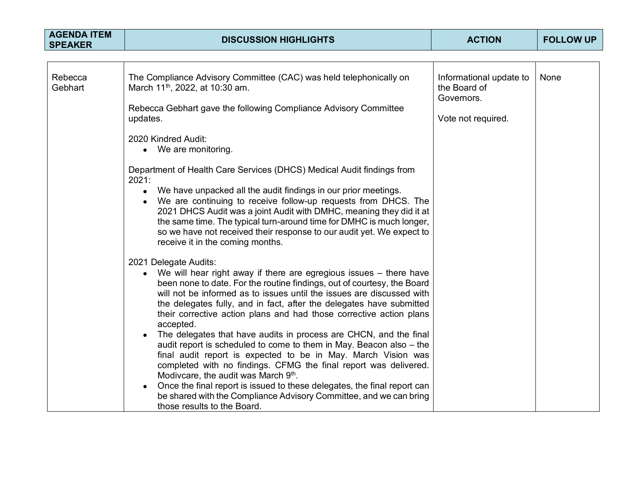| <b>AGENDA ITEM</b><br><b>SPEAKER</b> | <b>DISCUSSION HIGHLIGHTS</b>                                                                                                                                                                                                                                                                                                                                                                                                                                                                                                                                                                                             | <b>ACTION</b>                                         | <b>FOLLOW UP</b> |
|--------------------------------------|--------------------------------------------------------------------------------------------------------------------------------------------------------------------------------------------------------------------------------------------------------------------------------------------------------------------------------------------------------------------------------------------------------------------------------------------------------------------------------------------------------------------------------------------------------------------------------------------------------------------------|-------------------------------------------------------|------------------|
|                                      |                                                                                                                                                                                                                                                                                                                                                                                                                                                                                                                                                                                                                          |                                                       |                  |
| Rebecca<br>Gebhart                   | The Compliance Advisory Committee (CAC) was held telephonically on<br>March 11 <sup>th</sup> , 2022, at 10:30 am.<br>Rebecca Gebhart gave the following Compliance Advisory Committee                                                                                                                                                                                                                                                                                                                                                                                                                                    | Informational update to<br>the Board of<br>Governors. | None             |
|                                      | updates.                                                                                                                                                                                                                                                                                                                                                                                                                                                                                                                                                                                                                 | Vote not required.                                    |                  |
|                                      | 2020 Kindred Audit:<br>• We are monitoring.                                                                                                                                                                                                                                                                                                                                                                                                                                                                                                                                                                              |                                                       |                  |
|                                      | Department of Health Care Services (DHCS) Medical Audit findings from<br>2021:                                                                                                                                                                                                                                                                                                                                                                                                                                                                                                                                           |                                                       |                  |
|                                      | We have unpacked all the audit findings in our prior meetings.<br>$\bullet$<br>We are continuing to receive follow-up requests from DHCS. The<br>2021 DHCS Audit was a joint Audit with DMHC, meaning they did it at<br>the same time. The typical turn-around time for DMHC is much longer,<br>so we have not received their response to our audit yet. We expect to<br>receive it in the coming months.                                                                                                                                                                                                                |                                                       |                  |
|                                      | 2021 Delegate Audits:<br>We will hear right away if there are egregious issues - there have<br>been none to date. For the routine findings, out of courtesy, the Board<br>will not be informed as to issues until the issues are discussed with<br>the delegates fully, and in fact, after the delegates have submitted<br>their corrective action plans and had those corrective action plans<br>accepted.<br>The delegates that have audits in process are CHCN, and the final<br>audit report is scheduled to come to them in May. Beacon also - the<br>final audit report is expected to be in May. March Vision was |                                                       |                  |
|                                      | completed with no findings. CFMG the final report was delivered.<br>Modivcare, the audit was March 9 <sup>th</sup> .<br>Once the final report is issued to these delegates, the final report can<br>be shared with the Compliance Advisory Committee, and we can bring<br>those results to the Board.                                                                                                                                                                                                                                                                                                                    |                                                       |                  |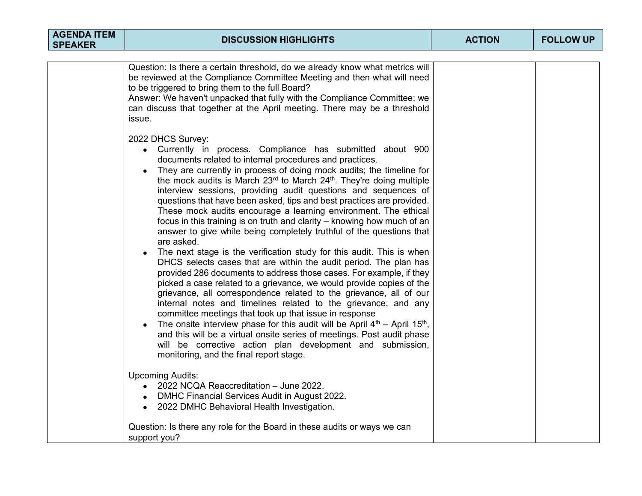| <b>AGENDA ITEM</b><br><b>SPEAKER</b> | <b>DISCUSSION HIGHLIGHTS</b>                                                                                                                                                                                                                                                                                                                                                                                                                                                                                                                                                                                                                                                                                                                                                                                                                                                                                                                                                                                                                                                                                                                                                                                                                                                                                                                                                                                                                                                   | <b>ACTION</b> | <b>FOLLOW UP</b> |
|--------------------------------------|--------------------------------------------------------------------------------------------------------------------------------------------------------------------------------------------------------------------------------------------------------------------------------------------------------------------------------------------------------------------------------------------------------------------------------------------------------------------------------------------------------------------------------------------------------------------------------------------------------------------------------------------------------------------------------------------------------------------------------------------------------------------------------------------------------------------------------------------------------------------------------------------------------------------------------------------------------------------------------------------------------------------------------------------------------------------------------------------------------------------------------------------------------------------------------------------------------------------------------------------------------------------------------------------------------------------------------------------------------------------------------------------------------------------------------------------------------------------------------|---------------|------------------|
|                                      |                                                                                                                                                                                                                                                                                                                                                                                                                                                                                                                                                                                                                                                                                                                                                                                                                                                                                                                                                                                                                                                                                                                                                                                                                                                                                                                                                                                                                                                                                |               |                  |
|                                      | Question: Is there a certain threshold, do we already know what metrics will<br>be reviewed at the Compliance Committee Meeting and then what will need<br>to be triggered to bring them to the full Board?<br>Answer: We haven't unpacked that fully with the Compliance Committee; we<br>can discuss that together at the April meeting. There may be a threshold<br>issue.                                                                                                                                                                                                                                                                                                                                                                                                                                                                                                                                                                                                                                                                                                                                                                                                                                                                                                                                                                                                                                                                                                  |               |                  |
|                                      | 2022 DHCS Survey:<br>• Currently in process. Compliance has submitted about 900<br>documents related to internal procedures and practices.<br>They are currently in process of doing mock audits; the timeline for<br>$\bullet$<br>the mock audits is March $23^{rd}$ to March $24^{th}$ . They're doing multiple<br>interview sessions, providing audit questions and sequences of<br>questions that have been asked, tips and best practices are provided.<br>These mock audits encourage a learning environment. The ethical<br>focus in this training is on truth and clarity – knowing how much of an<br>answer to give while being completely truthful of the questions that<br>are asked.<br>The next stage is the verification study for this audit. This is when<br>DHCS selects cases that are within the audit period. The plan has<br>provided 286 documents to address those cases. For example, if they<br>picked a case related to a grievance, we would provide copies of the<br>grievance, all correspondence related to the grievance, all of our<br>internal notes and timelines related to the grievance, and any<br>committee meetings that took up that issue in response<br>The onsite interview phase for this audit will be April $4th$ – April 15 <sup>th</sup> ,<br>and this will be a virtual onsite series of meetings. Post audit phase<br>will be corrective action plan development and submission,<br>monitoring, and the final report stage. |               |                  |
|                                      | <b>Upcoming Audits:</b><br>2022 NCQA Reaccreditation - June 2022.<br>DMHC Financial Services Audit in August 2022.<br>2022 DMHC Behavioral Health Investigation.                                                                                                                                                                                                                                                                                                                                                                                                                                                                                                                                                                                                                                                                                                                                                                                                                                                                                                                                                                                                                                                                                                                                                                                                                                                                                                               |               |                  |
|                                      | Question: Is there any role for the Board in these audits or ways we can<br>support you?                                                                                                                                                                                                                                                                                                                                                                                                                                                                                                                                                                                                                                                                                                                                                                                                                                                                                                                                                                                                                                                                                                                                                                                                                                                                                                                                                                                       |               |                  |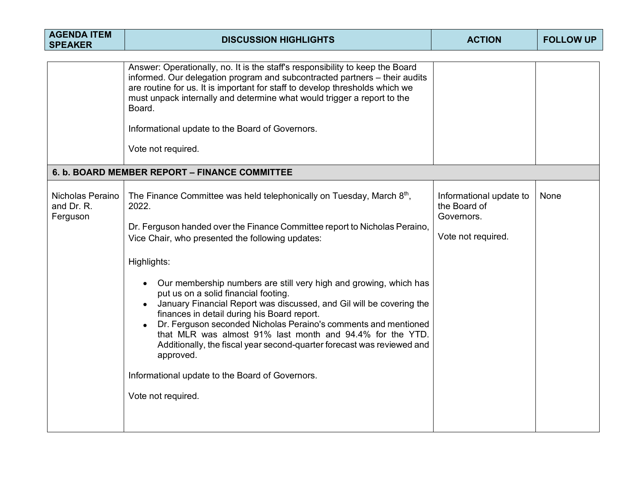| <b>AGENDA ITEM</b><br><b>SPEAKER</b>       | <b>DISCUSSION HIGHLIGHTS</b>                                                                                                                                                                                                                                                                                                                                                                                                                                                                                                                                                                                                                                                                                                                                                    | <b>ACTION</b>                                                               | <b>FOLLOW UP</b> |
|--------------------------------------------|---------------------------------------------------------------------------------------------------------------------------------------------------------------------------------------------------------------------------------------------------------------------------------------------------------------------------------------------------------------------------------------------------------------------------------------------------------------------------------------------------------------------------------------------------------------------------------------------------------------------------------------------------------------------------------------------------------------------------------------------------------------------------------|-----------------------------------------------------------------------------|------------------|
|                                            | Answer: Operationally, no. It is the staff's responsibility to keep the Board<br>informed. Our delegation program and subcontracted partners - their audits<br>are routine for us. It is important for staff to develop thresholds which we<br>must unpack internally and determine what would trigger a report to the<br>Board.<br>Informational update to the Board of Governors.<br>Vote not required.                                                                                                                                                                                                                                                                                                                                                                       |                                                                             |                  |
|                                            | 6. b. BOARD MEMBER REPORT - FINANCE COMMITTEE                                                                                                                                                                                                                                                                                                                                                                                                                                                                                                                                                                                                                                                                                                                                   |                                                                             |                  |
| Nicholas Peraino<br>and Dr. R.<br>Ferguson | The Finance Committee was held telephonically on Tuesday, March 8 <sup>th</sup> ,<br>2022.<br>Dr. Ferguson handed over the Finance Committee report to Nicholas Peraino,<br>Vice Chair, who presented the following updates:<br>Highlights:<br>Our membership numbers are still very high and growing, which has<br>put us on a solid financial footing.<br>January Financial Report was discussed, and Gil will be covering the<br>finances in detail during his Board report.<br>Dr. Ferguson seconded Nicholas Peraino's comments and mentioned<br>that MLR was almost 91% last month and 94.4% for the YTD.<br>Additionally, the fiscal year second-quarter forecast was reviewed and<br>approved.<br>Informational update to the Board of Governors.<br>Vote not required. | Informational update to<br>the Board of<br>Governors.<br>Vote not required. | None             |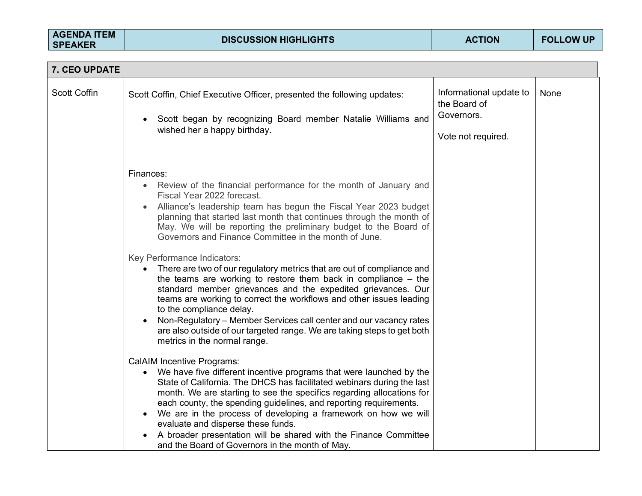| 7. CEO UPDATE       |                                                                                                                                                                                                                                                                                                                                                                                                                                                                                                                                                                                                                                                                                                                                                                                                                                                                                                                                                                                                                                                                                                                                                                                                                                                                                                                                          |                                                                             |      |
|---------------------|------------------------------------------------------------------------------------------------------------------------------------------------------------------------------------------------------------------------------------------------------------------------------------------------------------------------------------------------------------------------------------------------------------------------------------------------------------------------------------------------------------------------------------------------------------------------------------------------------------------------------------------------------------------------------------------------------------------------------------------------------------------------------------------------------------------------------------------------------------------------------------------------------------------------------------------------------------------------------------------------------------------------------------------------------------------------------------------------------------------------------------------------------------------------------------------------------------------------------------------------------------------------------------------------------------------------------------------|-----------------------------------------------------------------------------|------|
| <b>Scott Coffin</b> | Scott Coffin, Chief Executive Officer, presented the following updates:<br>Scott began by recognizing Board member Natalie Williams and<br>$\bullet$<br>wished her a happy birthday.                                                                                                                                                                                                                                                                                                                                                                                                                                                                                                                                                                                                                                                                                                                                                                                                                                                                                                                                                                                                                                                                                                                                                     | Informational update to<br>the Board of<br>Governors.<br>Vote not required. | None |
|                     | Finances:<br>Review of the financial performance for the month of January and<br>$\bullet$<br>Fiscal Year 2022 forecast.<br>Alliance's leadership team has begun the Fiscal Year 2023 budget<br>planning that started last month that continues through the month of<br>May. We will be reporting the preliminary budget to the Board of<br>Governors and Finance Committee in the month of June.<br>Key Performance Indicators:<br>There are two of our regulatory metrics that are out of compliance and<br>the teams are working to restore them back in compliance $-$ the<br>standard member grievances and the expedited grievances. Our<br>teams are working to correct the workflows and other issues leading<br>to the compliance delay.<br>Non-Regulatory – Member Services call center and our vacancy rates<br>are also outside of our targeted range. We are taking steps to get both<br>metrics in the normal range.<br><b>CalAIM Incentive Programs:</b><br>We have five different incentive programs that were launched by the<br>State of California. The DHCS has facilitated webinars during the last<br>month. We are starting to see the specifics regarding allocations for<br>each county, the spending guidelines, and reporting requirements.<br>We are in the process of developing a framework on how we will |                                                                             |      |
|                     | evaluate and disperse these funds.<br>A broader presentation will be shared with the Finance Committee<br>and the Board of Governors in the month of May.                                                                                                                                                                                                                                                                                                                                                                                                                                                                                                                                                                                                                                                                                                                                                                                                                                                                                                                                                                                                                                                                                                                                                                                |                                                                             |      |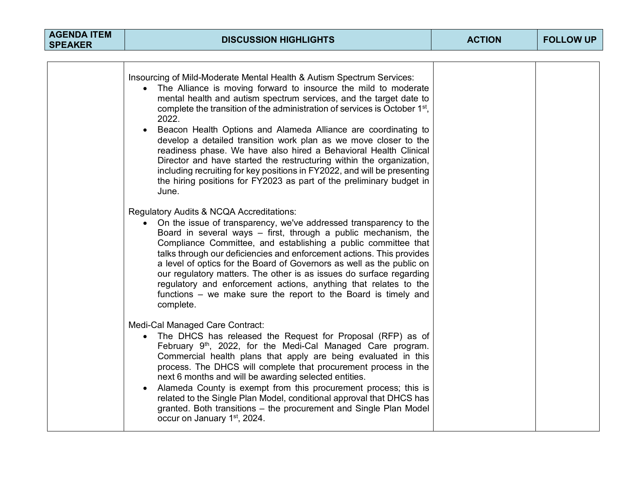| <b>AGENDA ITEM</b><br><b>SPEAKER</b> | <b>DISCUSSION HIGHLIGHTS</b>                                                                                                                                                                                                                                                                                                                                                                                                                                                                                                                                                                                                                                                                                                                                                  | <b>ACTION</b> | <b>FOLLOW UP</b> |
|--------------------------------------|-------------------------------------------------------------------------------------------------------------------------------------------------------------------------------------------------------------------------------------------------------------------------------------------------------------------------------------------------------------------------------------------------------------------------------------------------------------------------------------------------------------------------------------------------------------------------------------------------------------------------------------------------------------------------------------------------------------------------------------------------------------------------------|---------------|------------------|
|                                      |                                                                                                                                                                                                                                                                                                                                                                                                                                                                                                                                                                                                                                                                                                                                                                               |               |                  |
|                                      | Insourcing of Mild-Moderate Mental Health & Autism Spectrum Services:<br>The Alliance is moving forward to insource the mild to moderate<br>mental health and autism spectrum services, and the target date to<br>complete the transition of the administration of services is October 1 <sup>st</sup> ,<br>2022.<br>Beacon Health Options and Alameda Alliance are coordinating to<br>$\bullet$<br>develop a detailed transition work plan as we move closer to the<br>readiness phase. We have also hired a Behavioral Health Clinical<br>Director and have started the restructuring within the organization,<br>including recruiting for key positions in FY2022, and will be presenting<br>the hiring positions for FY2023 as part of the preliminary budget in<br>June. |               |                  |
|                                      | Regulatory Audits & NCQA Accreditations:<br>• On the issue of transparency, we've addressed transparency to the<br>Board in several ways - first, through a public mechanism, the<br>Compliance Committee, and establishing a public committee that<br>talks through our deficiencies and enforcement actions. This provides<br>a level of optics for the Board of Governors as well as the public on<br>our regulatory matters. The other is as issues do surface regarding<br>regulatory and enforcement actions, anything that relates to the<br>functions – we make sure the report to the Board is timely and<br>complete.                                                                                                                                               |               |                  |
|                                      | Medi-Cal Managed Care Contract:<br>• The DHCS has released the Request for Proposal (RFP) as of<br>February 9 <sup>th</sup> , 2022, for the Medi-Cal Managed Care program.<br>Commercial health plans that apply are being evaluated in this<br>process. The DHCS will complete that procurement process in the<br>next 6 months and will be awarding selected entities.<br>Alameda County is exempt from this procurement process; this is<br>related to the Single Plan Model, conditional approval that DHCS has<br>granted. Both transitions - the procurement and Single Plan Model<br>occur on January 1 <sup>st</sup> , 2024.                                                                                                                                          |               |                  |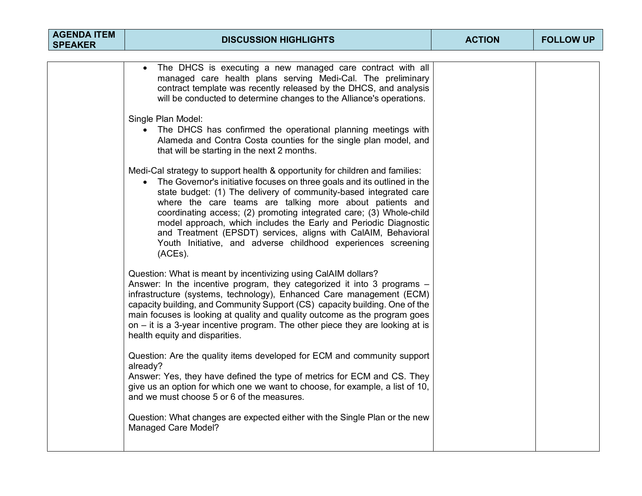| <b>AGENDA ITEM</b><br><b>SPEAKER</b> | <b>DISCUSSION HIGHLIGHTS</b>                                                                                                                                                                                                                                                                                                                                                                                                                                                                                                                                                       | <b>ACTION</b> | <b>FOLLOW UP</b> |
|--------------------------------------|------------------------------------------------------------------------------------------------------------------------------------------------------------------------------------------------------------------------------------------------------------------------------------------------------------------------------------------------------------------------------------------------------------------------------------------------------------------------------------------------------------------------------------------------------------------------------------|---------------|------------------|
|                                      |                                                                                                                                                                                                                                                                                                                                                                                                                                                                                                                                                                                    |               |                  |
|                                      | The DHCS is executing a new managed care contract with all<br>$\bullet$<br>managed care health plans serving Medi-Cal. The preliminary<br>contract template was recently released by the DHCS, and analysis<br>will be conducted to determine changes to the Alliance's operations.                                                                                                                                                                                                                                                                                                |               |                  |
|                                      | Single Plan Model:<br>The DHCS has confirmed the operational planning meetings with<br>Alameda and Contra Costa counties for the single plan model, and<br>that will be starting in the next 2 months.                                                                                                                                                                                                                                                                                                                                                                             |               |                  |
|                                      | Medi-Cal strategy to support health & opportunity for children and families:<br>The Governor's initiative focuses on three goals and its outlined in the<br>state budget: (1) The delivery of community-based integrated care<br>where the care teams are talking more about patients and<br>coordinating access; (2) promoting integrated care; (3) Whole-child<br>model approach, which includes the Early and Periodic Diagnostic<br>and Treatment (EPSDT) services, aligns with CalAIM, Behavioral<br>Youth Initiative, and adverse childhood experiences screening<br>(ACEs). |               |                  |
|                                      | Question: What is meant by incentivizing using CalAIM dollars?<br>Answer: In the incentive program, they categorized it into 3 programs -<br>infrastructure (systems, technology), Enhanced Care management (ECM)<br>capacity building, and Community Support (CS) capacity building. One of the<br>main focuses is looking at quality and quality outcome as the program goes<br>on $-$ it is a 3-year incentive program. The other piece they are looking at is<br>health equity and disparities.                                                                                |               |                  |
|                                      | Question: Are the quality items developed for ECM and community support<br>already?<br>Answer: Yes, they have defined the type of metrics for ECM and CS. They<br>give us an option for which one we want to choose, for example, a list of 10,<br>and we must choose 5 or 6 of the measures.                                                                                                                                                                                                                                                                                      |               |                  |
|                                      | Question: What changes are expected either with the Single Plan or the new<br><b>Managed Care Model?</b>                                                                                                                                                                                                                                                                                                                                                                                                                                                                           |               |                  |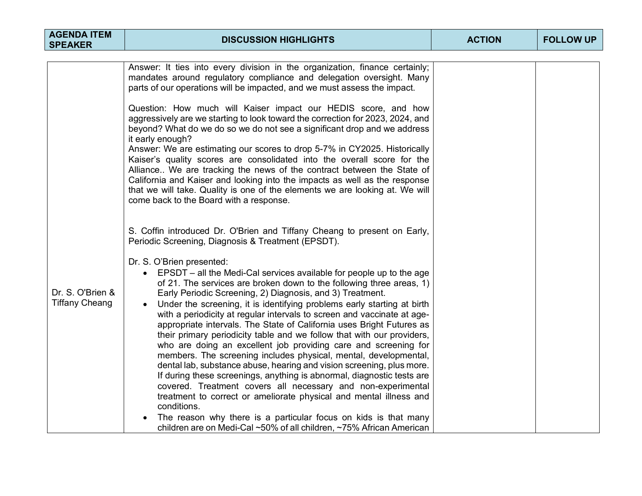| <b>AGENDA ITEM</b><br><b>SPEAKER</b>      | <b>DISCUSSION HIGHLIGHTS</b>                                                                                                                                                                                                                                                                                                                                                                                                                                                                                                                                                                                                                                                                                                                                                                                                                                                                                                                                                                     | <b>ACTION</b> | <b>FOLLOW UP</b> |
|-------------------------------------------|--------------------------------------------------------------------------------------------------------------------------------------------------------------------------------------------------------------------------------------------------------------------------------------------------------------------------------------------------------------------------------------------------------------------------------------------------------------------------------------------------------------------------------------------------------------------------------------------------------------------------------------------------------------------------------------------------------------------------------------------------------------------------------------------------------------------------------------------------------------------------------------------------------------------------------------------------------------------------------------------------|---------------|------------------|
|                                           |                                                                                                                                                                                                                                                                                                                                                                                                                                                                                                                                                                                                                                                                                                                                                                                                                                                                                                                                                                                                  |               |                  |
|                                           | Answer: It ties into every division in the organization, finance certainly;<br>mandates around regulatory compliance and delegation oversight. Many<br>parts of our operations will be impacted, and we must assess the impact.                                                                                                                                                                                                                                                                                                                                                                                                                                                                                                                                                                                                                                                                                                                                                                  |               |                  |
|                                           | Question: How much will Kaiser impact our HEDIS score, and how<br>aggressively are we starting to look toward the correction for 2023, 2024, and<br>beyond? What do we do so we do not see a significant drop and we address<br>it early enough?                                                                                                                                                                                                                                                                                                                                                                                                                                                                                                                                                                                                                                                                                                                                                 |               |                  |
|                                           | Answer: We are estimating our scores to drop 5-7% in CY2025. Historically<br>Kaiser's quality scores are consolidated into the overall score for the<br>Alliance We are tracking the news of the contract between the State of<br>California and Kaiser and looking into the impacts as well as the response<br>that we will take. Quality is one of the elements we are looking at. We will<br>come back to the Board with a response.                                                                                                                                                                                                                                                                                                                                                                                                                                                                                                                                                          |               |                  |
|                                           | S. Coffin introduced Dr. O'Brien and Tiffany Cheang to present on Early,<br>Periodic Screening, Diagnosis & Treatment (EPSDT).                                                                                                                                                                                                                                                                                                                                                                                                                                                                                                                                                                                                                                                                                                                                                                                                                                                                   |               |                  |
| Dr. S. O'Brien &<br><b>Tiffany Cheang</b> | Dr. S. O'Brien presented:<br>• EPSDT – all the Medi-Cal services available for people up to the age<br>of 21. The services are broken down to the following three areas, 1)<br>Early Periodic Screening, 2) Diagnosis, and 3) Treatment.<br>Under the screening, it is identifying problems early starting at birth<br>with a periodicity at regular intervals to screen and vaccinate at age-<br>appropriate intervals. The State of California uses Bright Futures as<br>their primary periodicity table and we follow that with our providers,<br>who are doing an excellent job providing care and screening for<br>members. The screening includes physical, mental, developmental,<br>dental lab, substance abuse, hearing and vision screening, plus more.<br>If during these screenings, anything is abnormal, diagnostic tests are<br>covered. Treatment covers all necessary and non-experimental<br>treatment to correct or ameliorate physical and mental illness and<br>conditions. |               |                  |
|                                           | The reason why there is a particular focus on kids is that many<br>children are on Medi-Cal ~50% of all children, ~75% African American                                                                                                                                                                                                                                                                                                                                                                                                                                                                                                                                                                                                                                                                                                                                                                                                                                                          |               |                  |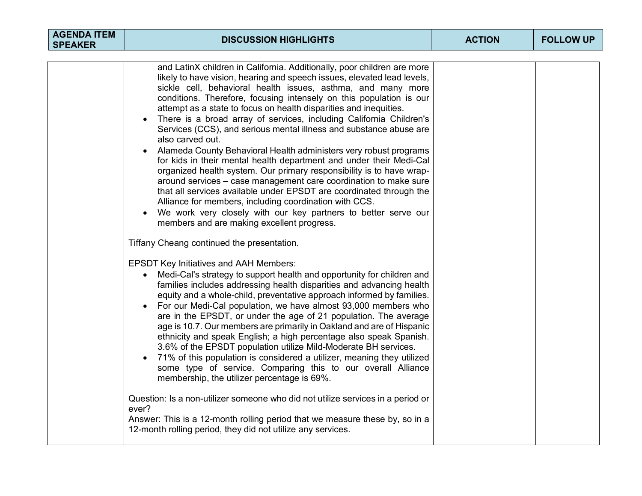| <b>AGENDA ITEM</b><br><b>SPEAKER</b> | <b>DISCUSSION HIGHLIGHTS</b>                                                                                                                                                                                                                                                                                                                                                                                                                                                                                                                                                                                                                                                                                                                                                                                                                                                                                                                                                                                                                                                                                                                                                                                                                                                                                                                                                                                                                                                                                                                                                                                                                                                                                                                                                                                                                                                                                                                                                                                                                                                                                                                                                                               | <b>ACTION</b> | <b>FOLLOW UP</b> |
|--------------------------------------|------------------------------------------------------------------------------------------------------------------------------------------------------------------------------------------------------------------------------------------------------------------------------------------------------------------------------------------------------------------------------------------------------------------------------------------------------------------------------------------------------------------------------------------------------------------------------------------------------------------------------------------------------------------------------------------------------------------------------------------------------------------------------------------------------------------------------------------------------------------------------------------------------------------------------------------------------------------------------------------------------------------------------------------------------------------------------------------------------------------------------------------------------------------------------------------------------------------------------------------------------------------------------------------------------------------------------------------------------------------------------------------------------------------------------------------------------------------------------------------------------------------------------------------------------------------------------------------------------------------------------------------------------------------------------------------------------------------------------------------------------------------------------------------------------------------------------------------------------------------------------------------------------------------------------------------------------------------------------------------------------------------------------------------------------------------------------------------------------------------------------------------------------------------------------------------------------------|---------------|------------------|
|                                      | and LatinX children in California. Additionally, poor children are more<br>likely to have vision, hearing and speech issues, elevated lead levels,<br>sickle cell, behavioral health issues, asthma, and many more<br>conditions. Therefore, focusing intensely on this population is our<br>attempt as a state to focus on health disparities and inequities.<br>There is a broad array of services, including California Children's<br>$\bullet$<br>Services (CCS), and serious mental illness and substance abuse are<br>also carved out.<br>Alameda County Behavioral Health administers very robust programs<br>for kids in their mental health department and under their Medi-Cal<br>organized health system. Our primary responsibility is to have wrap-<br>around services – case management care coordination to make sure<br>that all services available under EPSDT are coordinated through the<br>Alliance for members, including coordination with CCS.<br>We work very closely with our key partners to better serve our<br>members and are making excellent progress.<br>Tiffany Cheang continued the presentation.<br><b>EPSDT Key Initiatives and AAH Members:</b><br>Medi-Cal's strategy to support health and opportunity for children and<br>families includes addressing health disparities and advancing health<br>equity and a whole-child, preventative approach informed by families.<br>For our Medi-Cal population, we have almost 93,000 members who<br>are in the EPSDT, or under the age of 21 population. The average<br>age is 10.7. Our members are primarily in Oakland and are of Hispanic<br>ethnicity and speak English; a high percentage also speak Spanish.<br>3.6% of the EPSDT population utilize Mild-Moderate BH services.<br>71% of this population is considered a utilizer, meaning they utilized<br>some type of service. Comparing this to our overall Alliance<br>membership, the utilizer percentage is 69%.<br>Question: Is a non-utilizer someone who did not utilize services in a period or<br>ever?<br>Answer: This is a 12-month rolling period that we measure these by, so in a<br>12-month rolling period, they did not utilize any services. |               |                  |
|                                      |                                                                                                                                                                                                                                                                                                                                                                                                                                                                                                                                                                                                                                                                                                                                                                                                                                                                                                                                                                                                                                                                                                                                                                                                                                                                                                                                                                                                                                                                                                                                                                                                                                                                                                                                                                                                                                                                                                                                                                                                                                                                                                                                                                                                            |               |                  |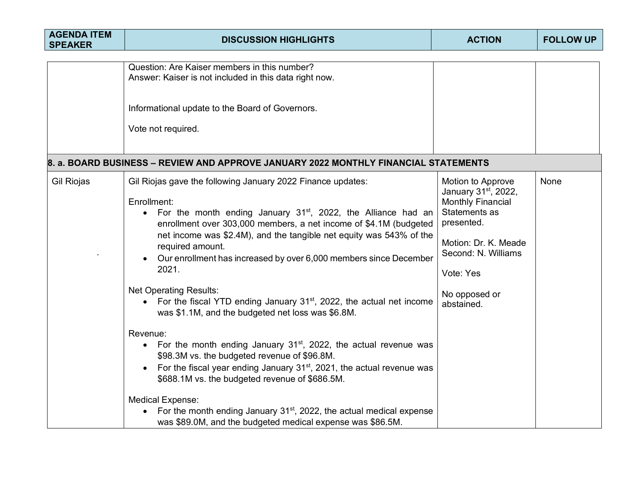| <b>AGENDA ITEM</b><br><b>SPEAKER</b> | <b>DISCUSSION HIGHLIGHTS</b>                                                                                                                                                                                                                                                                                                                                                                                                                                                                                                                                                                                                                                                                                                                                                                                                                                                                                                                                           | <b>ACTION</b>                                                                                                                                                                                               | <b>FOLLOW UP</b> |
|--------------------------------------|------------------------------------------------------------------------------------------------------------------------------------------------------------------------------------------------------------------------------------------------------------------------------------------------------------------------------------------------------------------------------------------------------------------------------------------------------------------------------------------------------------------------------------------------------------------------------------------------------------------------------------------------------------------------------------------------------------------------------------------------------------------------------------------------------------------------------------------------------------------------------------------------------------------------------------------------------------------------|-------------------------------------------------------------------------------------------------------------------------------------------------------------------------------------------------------------|------------------|
|                                      | Question: Are Kaiser members in this number?<br>Answer: Kaiser is not included in this data right now.<br>Informational update to the Board of Governors.<br>Vote not required.                                                                                                                                                                                                                                                                                                                                                                                                                                                                                                                                                                                                                                                                                                                                                                                        |                                                                                                                                                                                                             |                  |
|                                      | 8. a. BOARD BUSINESS – REVIEW AND APPROVE JANUARY 2022 MONTHLY FINANCIAL STATEMENTS                                                                                                                                                                                                                                                                                                                                                                                                                                                                                                                                                                                                                                                                                                                                                                                                                                                                                    |                                                                                                                                                                                                             |                  |
| Gil Riojas                           | Gil Riojas gave the following January 2022 Finance updates:<br>Enrollment:<br>For the month ending January $31^{st}$ , 2022, the Alliance had an<br>$\bullet$<br>enrollment over 303,000 members, a net income of \$4.1M (budgeted<br>net income was \$2.4M), and the tangible net equity was 543% of the<br>required amount.<br>Our enrollment has increased by over 6,000 members since December<br>2021.<br><b>Net Operating Results:</b><br>• For the fiscal YTD ending January $31st$ , 2022, the actual net income<br>was \$1.1M, and the budgeted net loss was \$6.8M.<br>Revenue:<br>• For the month ending January $31st$ , 2022, the actual revenue was<br>\$98.3M vs. the budgeted revenue of \$96.8M.<br>For the fiscal year ending January $31st$ , 2021, the actual revenue was<br>$\bullet$<br>\$688.1M vs. the budgeted revenue of \$686.5M.<br><b>Medical Expense:</b><br>• For the month ending January $31^{st}$ , 2022, the actual medical expense | Motion to Approve<br>January 31 <sup>st</sup> , 2022,<br><b>Monthly Financial</b><br>Statements as<br>presented.<br>Motion: Dr. K. Meade<br>Second: N. Williams<br>Vote: Yes<br>No opposed or<br>abstained. | None             |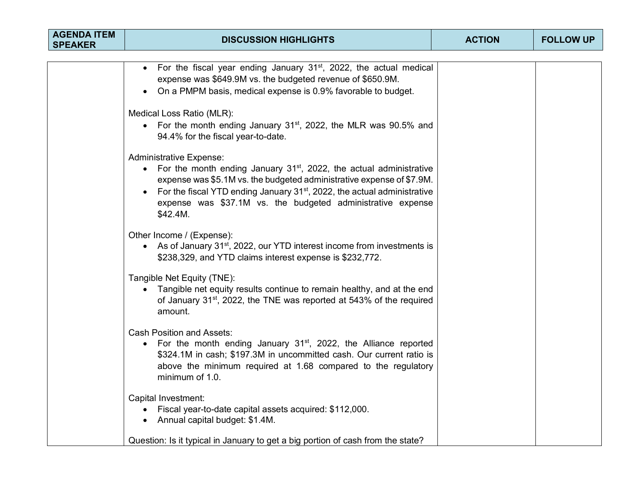| <b>AGENDA ITEM</b><br><b>SPEAKER</b> | <b>DISCUSSION HIGHLIGHTS</b>                                                                                                                                                                                                                                                                                                                          | <b>ACTION</b> | <b>FOLLOW UP</b> |  |  |
|--------------------------------------|-------------------------------------------------------------------------------------------------------------------------------------------------------------------------------------------------------------------------------------------------------------------------------------------------------------------------------------------------------|---------------|------------------|--|--|
|                                      |                                                                                                                                                                                                                                                                                                                                                       |               |                  |  |  |
|                                      | • For the fiscal year ending January $31st$ , 2022, the actual medical<br>expense was \$649.9M vs. the budgeted revenue of \$650.9M.<br>On a PMPM basis, medical expense is 0.9% favorable to budget.                                                                                                                                                 |               |                  |  |  |
|                                      | Medical Loss Ratio (MLR):<br>• For the month ending January 31 <sup>st</sup> , 2022, the MLR was 90.5% and<br>94.4% for the fiscal year-to-date.                                                                                                                                                                                                      |               |                  |  |  |
|                                      | <b>Administrative Expense:</b><br>• For the month ending January $31st$ , 2022, the actual administrative<br>expense was \$5.1M vs. the budgeted administrative expense of \$7.9M.<br>For the fiscal YTD ending January 31 <sup>st</sup> , 2022, the actual administrative<br>expense was \$37.1M vs. the budgeted administrative expense<br>\$42.4M. |               |                  |  |  |
|                                      | Other Income / (Expense):<br>• As of January 31 <sup>st</sup> , 2022, our YTD interest income from investments is<br>\$238,329, and YTD claims interest expense is \$232,772.                                                                                                                                                                         |               |                  |  |  |
|                                      | Tangible Net Equity (TNE):<br>• Tangible net equity results continue to remain healthy, and at the end<br>of January 31 <sup>st</sup> , 2022, the TNE was reported at 543% of the required<br>amount.                                                                                                                                                 |               |                  |  |  |
|                                      | <b>Cash Position and Assets:</b><br>• For the month ending January $31st$ , 2022, the Alliance reported<br>\$324.1M in cash; \$197.3M in uncommitted cash. Our current ratio is<br>above the minimum required at 1.68 compared to the regulatory<br>minimum of 1.0.                                                                                   |               |                  |  |  |
|                                      | Capital Investment:<br>• Fiscal year-to-date capital assets acquired: \$112,000.<br>• Annual capital budget: \$1.4M.                                                                                                                                                                                                                                  |               |                  |  |  |
|                                      | Question: Is it typical in January to get a big portion of cash from the state?                                                                                                                                                                                                                                                                       |               |                  |  |  |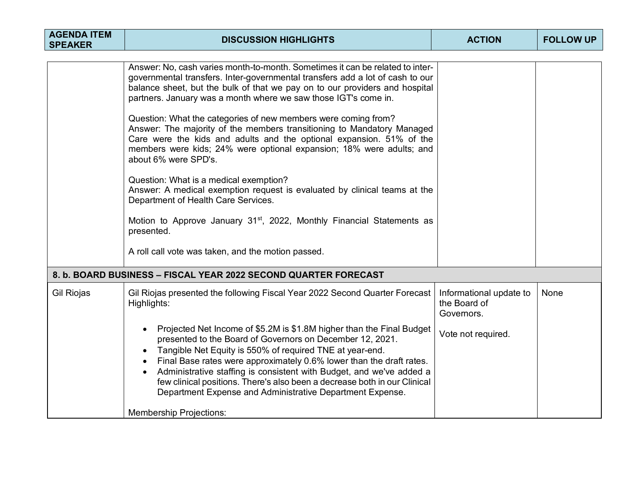| <b>AGENDA ITEM</b><br><b>SPEAKER</b> | <b>DISCUSSION HIGHLIGHTS</b>                                                                                                                                                                                                                                                                                                                                                                                                                                                                                                                                                                                                                                                                                                                                                                                                                                                                                                                                 | <b>ACTION</b>                                                               | <b>FOLLOW UP</b> |
|--------------------------------------|--------------------------------------------------------------------------------------------------------------------------------------------------------------------------------------------------------------------------------------------------------------------------------------------------------------------------------------------------------------------------------------------------------------------------------------------------------------------------------------------------------------------------------------------------------------------------------------------------------------------------------------------------------------------------------------------------------------------------------------------------------------------------------------------------------------------------------------------------------------------------------------------------------------------------------------------------------------|-----------------------------------------------------------------------------|------------------|
|                                      | Answer: No, cash varies month-to-month. Sometimes it can be related to inter-<br>governmental transfers. Inter-governmental transfers add a lot of cash to our<br>balance sheet, but the bulk of that we pay on to our providers and hospital<br>partners. January was a month where we saw those IGT's come in.<br>Question: What the categories of new members were coming from?<br>Answer: The majority of the members transitioning to Mandatory Managed<br>Care were the kids and adults and the optional expansion. 51% of the<br>members were kids; 24% were optional expansion; 18% were adults; and<br>about 6% were SPD's.<br>Question: What is a medical exemption?<br>Answer: A medical exemption request is evaluated by clinical teams at the<br>Department of Health Care Services.<br>Motion to Approve January 31 <sup>st</sup> , 2022, Monthly Financial Statements as<br>presented.<br>A roll call vote was taken, and the motion passed. |                                                                             |                  |
|                                      | 8. b. BOARD BUSINESS – FISCAL YEAR 2022 SECOND QUARTER FORECAST                                                                                                                                                                                                                                                                                                                                                                                                                                                                                                                                                                                                                                                                                                                                                                                                                                                                                              |                                                                             |                  |
| Gil Riojas                           | Gil Riojas presented the following Fiscal Year 2022 Second Quarter Forecast<br>Highlights:<br>Projected Net Income of \$5.2M is \$1.8M higher than the Final Budget<br>$\bullet$<br>presented to the Board of Governors on December 12, 2021.<br>Tangible Net Equity is 550% of required TNE at year-end.<br>Final Base rates were approximately 0.6% lower than the draft rates.<br>$\bullet$<br>Administrative staffing is consistent with Budget, and we've added a<br>few clinical positions. There's also been a decrease both in our Clinical<br>Department Expense and Administrative Department Expense.<br><b>Membership Projections:</b>                                                                                                                                                                                                                                                                                                           | Informational update to<br>the Board of<br>Governors.<br>Vote not required. | None             |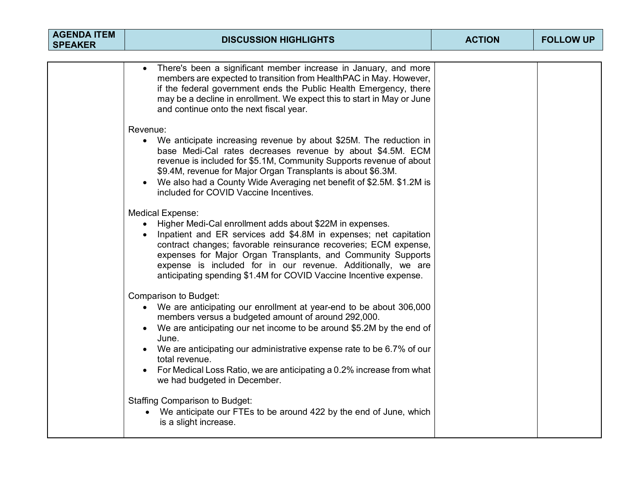| <b>AGENDA ITEM</b><br><b>SPEAKER</b> | <b>DISCUSSION HIGHLIGHTS</b>                                                                                                                                                                                                                                                                                                                                                                                                                    | <b>ACTION</b> | <b>FOLLOW UP</b> |
|--------------------------------------|-------------------------------------------------------------------------------------------------------------------------------------------------------------------------------------------------------------------------------------------------------------------------------------------------------------------------------------------------------------------------------------------------------------------------------------------------|---------------|------------------|
|                                      |                                                                                                                                                                                                                                                                                                                                                                                                                                                 |               |                  |
|                                      | There's been a significant member increase in January, and more<br>members are expected to transition from HealthPAC in May. However,<br>if the federal government ends the Public Health Emergency, there<br>may be a decline in enrollment. We expect this to start in May or June<br>and continue onto the next fiscal year.                                                                                                                 |               |                  |
|                                      | Revenue:                                                                                                                                                                                                                                                                                                                                                                                                                                        |               |                  |
|                                      | We anticipate increasing revenue by about \$25M. The reduction in<br>$\bullet$<br>base Medi-Cal rates decreases revenue by about \$4.5M. ECM<br>revenue is included for \$5.1M, Community Supports revenue of about<br>\$9.4M, revenue for Major Organ Transplants is about \$6.3M.<br>We also had a County Wide Averaging net benefit of \$2.5M. \$1.2M is<br>included for COVID Vaccine Incentives.                                           |               |                  |
|                                      | <b>Medical Expense:</b><br>• Higher Medi-Cal enrollment adds about \$22M in expenses.<br>Inpatient and ER services add \$4.8M in expenses; net capitation<br>$\bullet$<br>contract changes; favorable reinsurance recoveries; ECM expense,<br>expenses for Major Organ Transplants, and Community Supports<br>expense is included for in our revenue. Additionally, we are<br>anticipating spending \$1.4M for COVID Vaccine Incentive expense. |               |                  |
|                                      | Comparison to Budget:<br>• We are anticipating our enrollment at year-end to be about 306,000<br>members versus a budgeted amount of around 292,000.<br>• We are anticipating our net income to be around \$5.2M by the end of<br>June.<br>• We are anticipating our administrative expense rate to be 6.7% of our<br>total revenue.<br>For Medical Loss Ratio, we are anticipating a 0.2% increase from what<br>we had budgeted in December.   |               |                  |
|                                      | <b>Staffing Comparison to Budget:</b><br>We anticipate our FTEs to be around 422 by the end of June, which<br>is a slight increase.                                                                                                                                                                                                                                                                                                             |               |                  |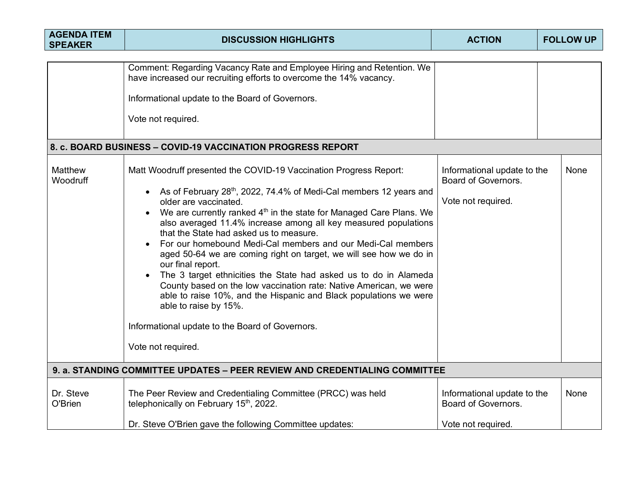| <b>AGENDA ITEM</b><br><b>SPEAKER</b>                                       | <b>DISCUSSION HIGHLIGHTS</b>                                                                                                                                                                                                                                                                                                                                                                                                                                                                                                                                                                                                                                                                                                                                                                                                                               | <b>ACTION</b>                                                            | <b>FOLLOW UP</b> |  |
|----------------------------------------------------------------------------|------------------------------------------------------------------------------------------------------------------------------------------------------------------------------------------------------------------------------------------------------------------------------------------------------------------------------------------------------------------------------------------------------------------------------------------------------------------------------------------------------------------------------------------------------------------------------------------------------------------------------------------------------------------------------------------------------------------------------------------------------------------------------------------------------------------------------------------------------------|--------------------------------------------------------------------------|------------------|--|
|                                                                            | Comment: Regarding Vacancy Rate and Employee Hiring and Retention. We<br>have increased our recruiting efforts to overcome the 14% vacancy.<br>Informational update to the Board of Governors.<br>Vote not required.                                                                                                                                                                                                                                                                                                                                                                                                                                                                                                                                                                                                                                       |                                                                          |                  |  |
|                                                                            | 8. c. BOARD BUSINESS - COVID-19 VACCINATION PROGRESS REPORT                                                                                                                                                                                                                                                                                                                                                                                                                                                                                                                                                                                                                                                                                                                                                                                                |                                                                          |                  |  |
| Matthew<br>Woodruff                                                        | Matt Woodruff presented the COVID-19 Vaccination Progress Report:<br>• As of February 28 <sup>th</sup> , 2022, 74.4% of Medi-Cal members 12 years and<br>older are vaccinated.<br>We are currently ranked 4 <sup>th</sup> in the state for Managed Care Plans. We<br>also averaged 11.4% increase among all key measured populations<br>that the State had asked us to measure.<br>For our homebound Medi-Cal members and our Medi-Cal members<br>aged 50-64 we are coming right on target, we will see how we do in<br>our final report.<br>The 3 target ethnicities the State had asked us to do in Alameda<br>County based on the low vaccination rate: Native American, we were<br>able to raise 10%, and the Hispanic and Black populations we were<br>able to raise by 15%.<br>Informational update to the Board of Governors.<br>Vote not required. | Informational update to the<br>Board of Governors.<br>Vote not required. | None             |  |
| 9. a. STANDING COMMITTEE UPDATES - PEER REVIEW AND CREDENTIALING COMMITTEE |                                                                                                                                                                                                                                                                                                                                                                                                                                                                                                                                                                                                                                                                                                                                                                                                                                                            |                                                                          |                  |  |
| Dr. Steve<br>O'Brien                                                       | The Peer Review and Credentialing Committee (PRCC) was held<br>telephonically on February 15 <sup>th</sup> , 2022.                                                                                                                                                                                                                                                                                                                                                                                                                                                                                                                                                                                                                                                                                                                                         | Informational update to the<br>Board of Governors.<br>Vote not required. | <b>None</b>      |  |
|                                                                            | Dr. Steve O'Brien gave the following Committee updates:                                                                                                                                                                                                                                                                                                                                                                                                                                                                                                                                                                                                                                                                                                                                                                                                    |                                                                          |                  |  |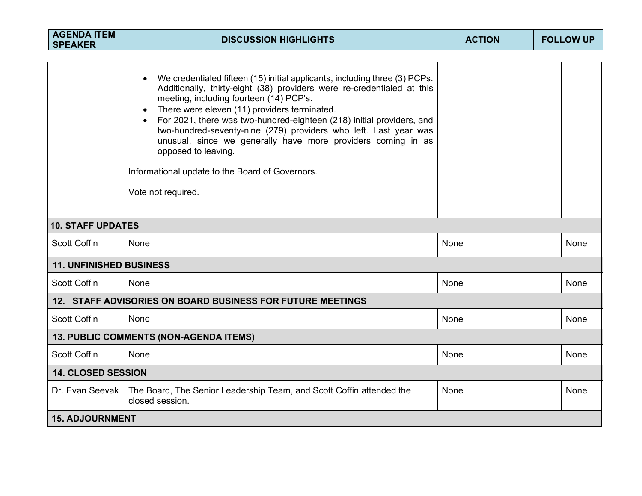| <b>AGENDA ITEM</b><br><b>SPEAKER</b>                       | <b>DISCUSSION HIGHLIGHTS</b>                                                                                                                                                                                                                                                                                                                                                                                                                                                                                                                                 | <b>ACTION</b> | <b>FOLLOW UP</b> |      |
|------------------------------------------------------------|--------------------------------------------------------------------------------------------------------------------------------------------------------------------------------------------------------------------------------------------------------------------------------------------------------------------------------------------------------------------------------------------------------------------------------------------------------------------------------------------------------------------------------------------------------------|---------------|------------------|------|
|                                                            | We credentialed fifteen (15) initial applicants, including three (3) PCPs.<br>Additionally, thirty-eight (38) providers were re-credentialed at this<br>meeting, including fourteen (14) PCP's.<br>There were eleven (11) providers terminated.<br>For 2021, there was two-hundred-eighteen (218) initial providers, and<br>two-hundred-seventy-nine (279) providers who left. Last year was<br>unusual, since we generally have more providers coming in as<br>opposed to leaving.<br>Informational update to the Board of Governors.<br>Vote not required. |               |                  |      |
| <b>10. STAFF UPDATES</b>                                   |                                                                                                                                                                                                                                                                                                                                                                                                                                                                                                                                                              |               |                  |      |
| <b>Scott Coffin</b>                                        | None                                                                                                                                                                                                                                                                                                                                                                                                                                                                                                                                                         | None          |                  | None |
| <b>11. UNFINISHED BUSINESS</b>                             |                                                                                                                                                                                                                                                                                                                                                                                                                                                                                                                                                              |               |                  |      |
| <b>Scott Coffin</b>                                        | None                                                                                                                                                                                                                                                                                                                                                                                                                                                                                                                                                         | None          |                  | None |
| 12. STAFF ADVISORIES ON BOARD BUSINESS FOR FUTURE MEETINGS |                                                                                                                                                                                                                                                                                                                                                                                                                                                                                                                                                              |               |                  |      |
| <b>Scott Coffin</b>                                        | None                                                                                                                                                                                                                                                                                                                                                                                                                                                                                                                                                         | None          |                  | None |
| 13. PUBLIC COMMENTS (NON-AGENDA ITEMS)                     |                                                                                                                                                                                                                                                                                                                                                                                                                                                                                                                                                              |               |                  |      |
| <b>Scott Coffin</b>                                        | None                                                                                                                                                                                                                                                                                                                                                                                                                                                                                                                                                         | None          |                  | None |
| <b>14. CLOSED SESSION</b>                                  |                                                                                                                                                                                                                                                                                                                                                                                                                                                                                                                                                              |               |                  |      |
| Dr. Evan Seevak                                            | The Board, The Senior Leadership Team, and Scott Coffin attended the<br>closed session.                                                                                                                                                                                                                                                                                                                                                                                                                                                                      | None          |                  | None |
| <b>15. ADJOURNMENT</b>                                     |                                                                                                                                                                                                                                                                                                                                                                                                                                                                                                                                                              |               |                  |      |